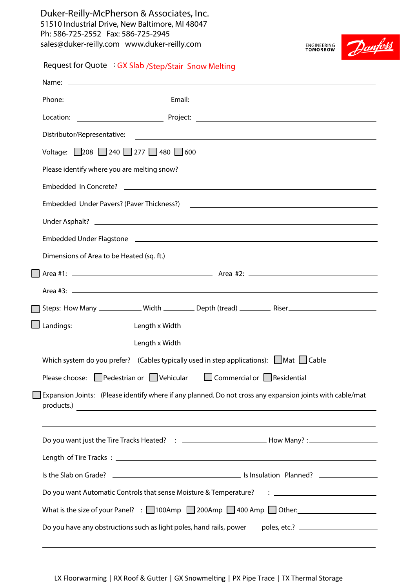**Duker-Reilly-McPherson & Associates, Inc.**  51510 Industrial Drive, New Baltimore, MI 48047 Ph: 586-725-2552 Fax: 586-725-2945 sales@duker-reilly.com www.duker-reilly.com



**Request for Quote : GX Slab /Step/Stair Snow Melting**

| Voltage: 208 240 277 480 600                                                                                   |
|----------------------------------------------------------------------------------------------------------------|
| Please identify where you are melting snow?                                                                    |
|                                                                                                                |
| Embedded Under Pavers? (Paver Thickness?) 2008 2012 2022 2023 2024 2022 2023 2024 2022 2023 2024 2022 2023 20  |
|                                                                                                                |
| Embedded Under Flagstone 2008 Communication and Communication and Communication and Communication and Communic |
| Dimensions of Area to be Heated (sq. ft.)                                                                      |
|                                                                                                                |
|                                                                                                                |
|                                                                                                                |
|                                                                                                                |
|                                                                                                                |
| Which system do you prefer? (Cables typically used in step applications): $\Box$ Mat $\Box$ Cable              |
| Please choose: Pedestrian or $\Box$ Vehicular $\Box$ Commercial or $\Box$ Residential                          |
| Expansion Joints: (Please identify where if any planned. Do not cross any expansion joints with cable/mat      |
| Do you want just the Tire Tracks Heated? : _______________________________How Many? : ________________________ |
|                                                                                                                |
|                                                                                                                |
| Do you want Automatic Controls that sense Moisture & Temperature? : ________________________________           |
| What is the size of your Panel? : $\Box$ 100Amp $\Box$ 200Amp $\Box$ 400 Amp $\Box$ Other:                     |
| Do you have any obstructions such as light poles, hand rails, power                                            |